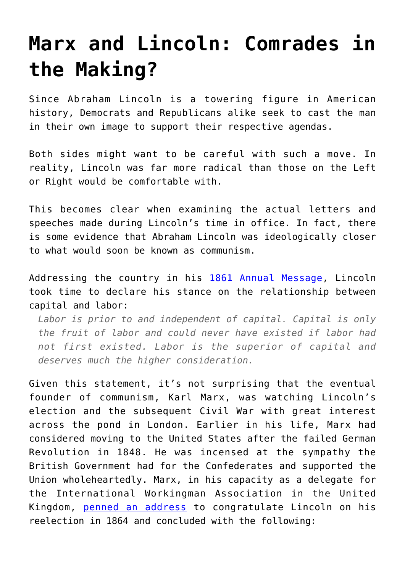## **[Marx and Lincoln: Comrades in](https://intellectualtakeout.org/2019/02/marx-and-lincoln-comrades-in-the-making/) [the Making?](https://intellectualtakeout.org/2019/02/marx-and-lincoln-comrades-in-the-making/)**

Since Abraham Lincoln is a towering figure in American history, Democrats and Republicans alike seek to cast the man in their own image to support their respective agendas.

Both sides might want to be careful with such a move. In reality, Lincoln was far more radical than those on the Left or Right would be comfortable with.

This becomes clear when examining the actual letters and speeches made during Lincoln's time in office. In fact, there is some evidence that Abraham Lincoln was ideologically closer to what would soon be known as communism.

Addressing the country in his [1861 Annual Message](https://www.presidency.ucsb.edu/documents/first-annual-message-9), Lincoln took time to declare his stance on the relationship between capital and labor:

*Labor is prior to and independent of capital. Capital is only the fruit of labor and could never have existed if labor had not first existed. Labor is the superior of capital and deserves much the higher consideration.*

Given this statement, it's not surprising that the eventual founder of communism, Karl Marx, was watching Lincoln's election and the subsequent Civil War with great interest across the pond in London. Earlier in his life, Marx had considered moving to the United States after the failed German Revolution in 1848. He was incensed at the sympathy the British Government had for the Confederates and supported the Union wholeheartedly. Marx, in his capacity as a delegate for the International Workingman Association in the United Kingdom, [penned an address](https://www.presidency.ucsb.edu/documents/first-annual-message-9) to congratulate Lincoln on his reelection in 1864 and concluded with the following: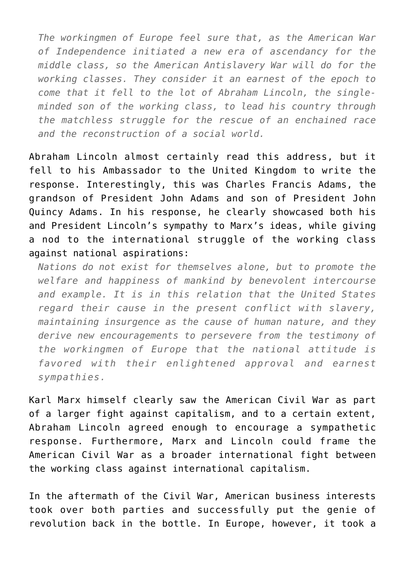*The workingmen of Europe feel sure that, as the American War of Independence initiated a new era of ascendancy for the middle class, so the American Antislavery War will do for the working classes. They consider it an earnest of the epoch to come that it fell to the lot of Abraham Lincoln, the singleminded son of the working class, to lead his country through the matchless struggle for the rescue of an enchained race and the reconstruction of a social world.*

Abraham Lincoln almost certainly read this address, but it fell to his Ambassador to the United Kingdom to write the response. Interestingly, this was Charles Francis Adams, the grandson of President John Adams and son of President John Quincy Adams. In his response, he clearly showcased both his and President Lincoln's sympathy to Marx's ideas, while giving a nod to the international struggle of the working class against national aspirations:

*Nations do not exist for themselves alone, but to promote the welfare and happiness of mankind by benevolent intercourse and example. It is in this relation that the United States regard their cause in the present conflict with slavery, maintaining insurgence as the cause of human nature, and they derive new encouragements to persevere from the testimony of the workingmen of Europe that the national attitude is favored with their enlightened approval and earnest sympathies.*

Karl Marx himself clearly saw the American Civil War as part of a larger fight against capitalism, and to a certain extent, Abraham Lincoln agreed enough to encourage a sympathetic response. Furthermore, Marx and Lincoln could frame the American Civil War as a broader international fight between the working class against international capitalism.

In the aftermath of the Civil War, American business interests took over both parties and successfully put the genie of revolution back in the bottle. In Europe, however, it took a